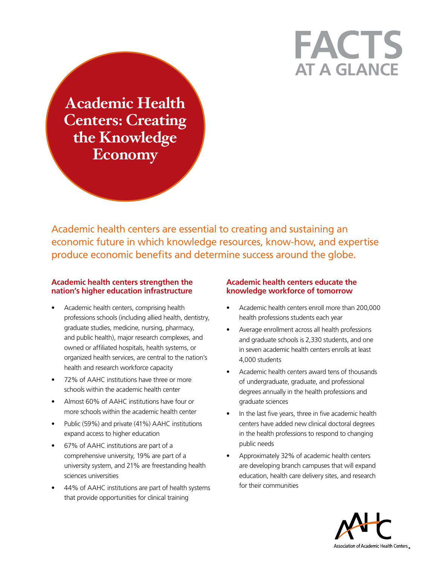# **at a Glance Facts**

**Academic Health Centers: Creating the Knowledge Economy**

Academic health centers are essential to creating and sustaining an economic future in which knowledge resources, know-how, and expertise produce economic benefits and determine success around the globe.

## **Academic health centers strengthen the nation's higher education infrastructure**

- Academic health centers, comprising health professions schools (including allied health, dentistry, graduate studies, medicine, nursing, pharmacy, and public health), major research complexes, and owned or affiliated hospitals, health systems, or organized health services, are central to the nation's health and research workforce capacity
- 72% of AAHC institutions have three or more schools within the academic health center
- Almost 60% of AAHC institutions have four or more schools within the academic health center
- Public (59%) and private (41%) AAHC institutions expand access to higher education
- 67% of AAHC institutions are part of a comprehensive university, 19% are part of a university system, and 21% are freestanding health sciences universities
- 44% of AAHC institutions are part of health systems that provide opportunities for clinical training

## **Academic health centers educate the knowledge workforce of tomorrow**

- Academic health centers enroll more than 200,000 health professions students each year
- Average enrollment across all health professions and graduate schools is 2,330 students, and one in seven academic health centers enrolls at least 4,000 students
- Academic health centers award tens of thousands of undergraduate, graduate, and professional degrees annually in the health professions and graduate sciences
- In the last five years, three in five academic health centers have added new clinical doctoral degrees in the health professions to respond to changing public needs
- Approximately 32% of academic health centers are developing branch campuses that will expand education, health care delivery sites, and research for their communities